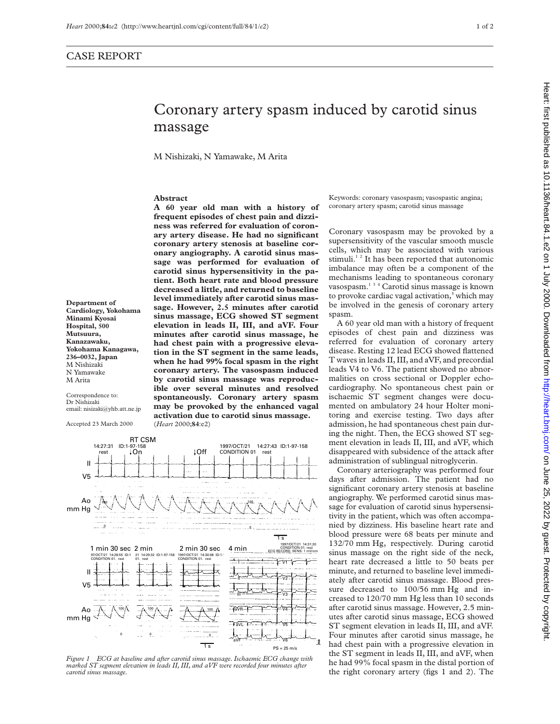## Coronary artery spasm induced by carotid sinus massage

M Nishizaki, N Yamawake, M Arita

## **Abstract**

**A 60 year old man with a history of frequent episodes of chest pain and dizziness was referred for evaluation of coronary artery disease. He had no significant coronary artery stenosis at baseline coronary angiography. A carotid sinus massage was performed for evaluation of carotid sinus hypersensitivity in the patient. Both heart rate and blood pressure decreased a little, and returned to baseline level immediately after carotid sinus massage. However, 2.5 minutes after carotid sinus massage, ECG showed ST segment elevation in leads II, III, and aVF. Four minutes after carotid sinus massage, he had chest pain with a progressive elevation in the ST segment in the same leads, when he had 99% focal spasm in the right coronary artery. The vasospasm induced by carotid sinus massage was reproducible over several minutes and resolved spontaneously. Coronary artery spasm may be provoked by the enhanced vagal activation due to carotid sinus massage.** (*Heart* 2000;**84**:e2)



Correspondence to: Dr Nishizaki email: nisizaki@yhb.att.ne.jp

Accepted 23 March 2000



*Figure 1 ECG at baseline and after carotid sinus massage. Ischaemic ECG change with marked ST segment elevation in leads II, III, and aVF were recorded four minutes after carotid sinus massage.*

Keywords: coronary vasospasm; vasospastic angina; coronary artery spasm; carotid sinus massage

Coronary vasospasm may be provoked by a supersensitivity of the vascular smooth muscle cells, which may be associated with various stimuli.<sup>12</sup> It has been reported that autonomic imbalance may often be a component of the mechanisms leading to spontaneous coronary vasospasm.134 Carotid sinus massage is known to provoke cardiac vagal activation,<sup>5</sup> which may be involved in the genesis of coronary artery spasm.

A 60 year old man with a history of frequent episodes of chest pain and dizziness was referred for evaluation of coronary artery disease. Resting 12 lead ECG showed flattened T waves in leads II, III, and aVF, and precordial leads V4 to V6. The patient showed no abnormalities on cross sectional or Doppler echocardiography. No spontaneous chest pain or ischaemic ST segment changes were documented on ambulatory 24 hour Holter monitoring and exercise testing. Two days after admission, he had spontaneous chest pain during the night. Then, the ECG showed ST segment elevation in leads II, III, and aVF, which disappeared with subsidence of the attack after administration of sublingual nitroglycerin.

Coronary arteriography was performed four days after admission. The patient had no significant coronary artery stenosis at baseline angiography. We performed carotid sinus massage for evaluation of carotid sinus hypersensitivity in the patient, which was often accompanied by dizziness. His baseline heart rate and blood pressure were 68 beats per minute and 132/70 mm Hg, respectively. During carotid sinus massage on the right side of the neck, heart rate decreased a little to 50 beats per minute, and returned to baseline level immediately after carotid sinus massage. Blood pressure decreased to 100/56 mm Hg and increased to 120/70 mm Hg less than 10 seconds after carotid sinus massage. However, 2.5 minutes after carotid sinus massage, ECG showed ST segment elevation in leads II, III, and aVF. Four minutes after carotid sinus massage, he had chest pain with a progressive elevation in the ST segment in leads II, III, and aVF, when he had 99% focal spasm in the distal portion of the right coronary artery (figs 1 and 2). The